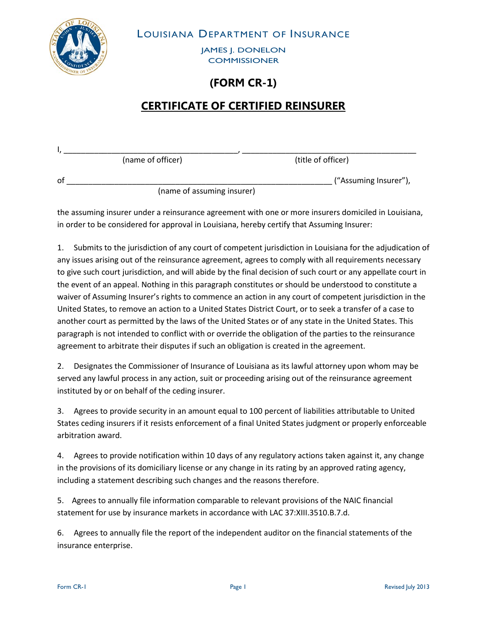LOUISIANA DEPARTMENT OF INSURANCE

JAMES J. DONELON **COMMISSIONER** 

## **(FORM CR-1)**

## **CERTIFICATE OF CERTIFIED REINSURER**

|    | (name of officer) | (title of officer)    |
|----|-------------------|-----------------------|
| оf |                   | ("Assuming Insurer"), |
|    |                   |                       |

(name of assuming insurer)

the assuming insurer under a reinsurance agreement with one or more insurers domiciled in Louisiana, in order to be considered for approval in Louisiana, hereby certify that Assuming Insurer:

1. Submits to the jurisdiction of any court of competent jurisdiction in Louisiana for the adjudication of any issues arising out of the reinsurance agreement, agrees to comply with all requirements necessary to give such court jurisdiction, and will abide by the final decision of such court or any appellate court in the event of an appeal. Nothing in this paragraph constitutes or should be understood to constitute a waiver of Assuming Insurer's rights to commence an action in any court of competent jurisdiction in the United States, to remove an action to a United States District Court, or to seek a transfer of a case to another court as permitted by the laws of the United States or of any state in the United States. This paragraph is not intended to conflict with or override the obligation of the parties to the reinsurance agreement to arbitrate their disputes if such an obligation is created in the agreement.

2. Designates the Commissioner of Insurance of Louisiana as its lawful attorney upon whom may be served any lawful process in any action, suit or proceeding arising out of the reinsurance agreement instituted by or on behalf of the ceding insurer.

3. Agrees to provide security in an amount equal to 100 percent of liabilities attributable to United States ceding insurers if it resists enforcement of a final United States judgment or properly enforceable arbitration award.

4. Agrees to provide notification within 10 days of any regulatory actions taken against it, any change in the provisions of its domiciliary license or any change in its rating by an approved rating agency, including a statement describing such changes and the reasons therefore.

5. Agrees to annually file information comparable to relevant provisions of the NAIC financial statement for use by insurance markets in accordance with LAC 37:XIII.3510.B.7.d.

6. Agrees to annually file the report of the independent auditor on the financial statements of the insurance enterprise.